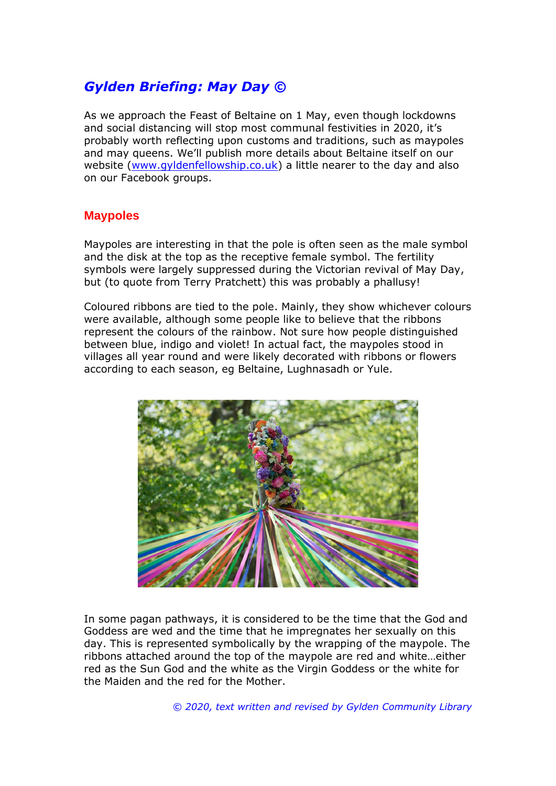## *Gylden Briefing: May Day ©*

As we approach the Feast of Beltaine on 1 May, even though lockdowns and social distancing will stop most communal festivities in 2020, it's probably worth reflecting upon customs and traditions, such as maypoles and may queens. We'll publish more details about Beltaine itself on our website [\(www.gyldenfellowship.co.uk\)](http://www.gyldenfellowship.co.uk/) a little nearer to the day and also on our Facebook groups.

## **Maypoles**

Maypoles are interesting in that the pole is often seen as the male symbol and the disk at the top as the receptive female symbol. The fertility symbols were largely suppressed during the Victorian revival of May Day, but (to quote from Terry Pratchett) this was probably a phallusy!

Coloured ribbons are tied to the pole. Mainly, they show whichever colours were available, although some people like to believe that the ribbons represent the colours of the rainbow. Not sure how people distinguished between blue, indigo and violet! In actual fact, the maypoles stood in villages all year round and were likely decorated with ribbons or flowers according to each season, eg Beltaine, Lughnasadh or Yule.



In some pagan pathways, it is considered to be the time that the God and Goddess are wed and the time that he impregnates her sexually on this day. This is represented symbolically by the wrapping of the maypole. The ribbons attached around the top of the maypole are red and white…either red as the Sun God and the white as the Virgin Goddess or the white for the Maiden and the red for the Mother.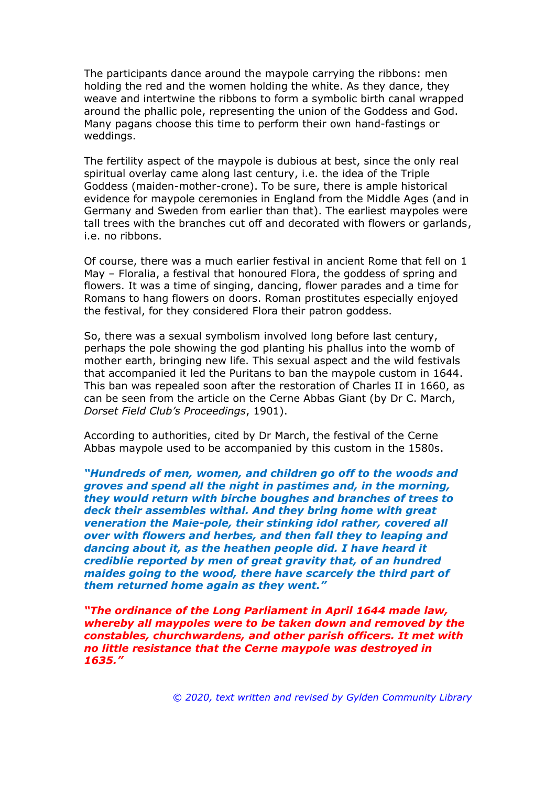The participants dance around the maypole carrying the ribbons: men holding the red and the women holding the white. As they dance, they weave and intertwine the ribbons to form a symbolic birth canal wrapped around the phallic pole, representing the union of the Goddess and God. Many pagans choose this time to perform their own hand-fastings or weddings.

The fertility aspect of the maypole is dubious at best, since the only real spiritual overlay came along last century, i.e. the idea of the Triple Goddess (maiden-mother-crone). To be sure, there is ample historical evidence for maypole ceremonies in England from the Middle Ages (and in Germany and Sweden from earlier than that). The earliest maypoles were tall trees with the branches cut off and decorated with flowers or garlands, i.e. no ribbons.

Of course, there was a much earlier festival in ancient Rome that fell on 1 May – Floralia, a festival that honoured Flora, the goddess of spring and flowers. It was a time of singing, dancing, flower parades and a time for Romans to hang flowers on doors. Roman prostitutes especially enjoyed the festival, for they considered Flora their patron goddess.

So, there was a sexual symbolism involved long before last century, perhaps the pole showing the god planting his phallus into the womb of mother earth, bringing new life. This sexual aspect and the wild festivals that accompanied it led the Puritans to ban the maypole custom in 1644. This ban was repealed soon after the restoration of Charles II in 1660, as can be seen from the article on the Cerne Abbas Giant (by Dr C. March, *Dorset Field Club's Proceedings*, 1901).

According to authorities, cited by Dr March, the festival of the Cerne Abbas maypole used to be accompanied by this custom in the 1580s.

*"Hundreds of men, women, and children go off to the woods and groves and spend all the night in pastimes and, in the morning, they would return with birche boughes and branches of trees to deck their assembles withal. And they bring home with great veneration the Maie-pole, their stinking idol rather, covered all over with flowers and herbes, and then fall they to leaping and dancing about it, as the heathen people did. I have heard it crediblie reported by men of great gravity that, of an hundred maides going to the wood, there have scarcely the third part of them returned home again as they went."*

*"The ordinance of the Long Parliament in April 1644 made law, whereby all maypoles were to be taken down and removed by the constables, churchwardens, and other parish officers. It met with no little resistance that the Cerne maypole was destroyed in 1635."*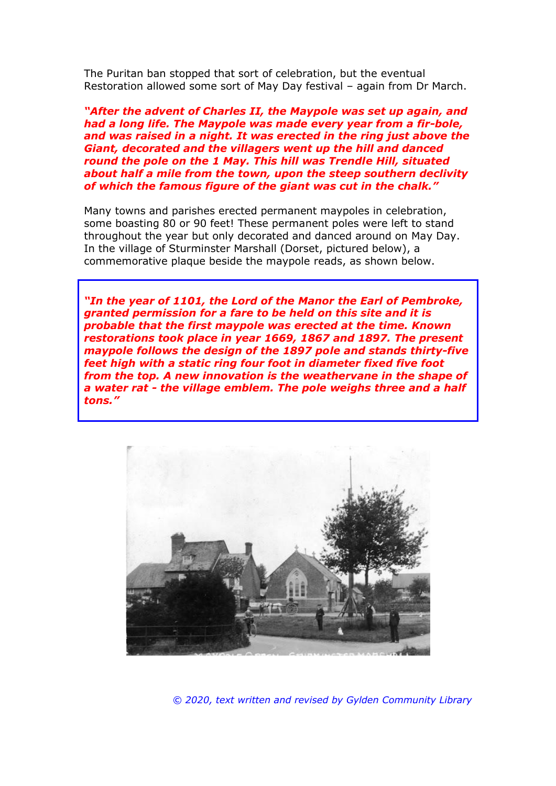The Puritan ban stopped that sort of celebration, but the eventual Restoration allowed some sort of May Day festival – again from Dr March.

*"After the advent of Charles II, the Maypole was set up again, and had a long life. The Maypole was made every year from a fir-bole, and was raised in a night. It was erected in the ring just above the Giant, decorated and the villagers went up the hill and danced round the pole on the 1 May. This hill was Trendle Hill, situated about half a mile from the town, upon the steep southern declivity of which the famous figure of the giant was cut in the chalk."*

Many towns and parishes erected permanent maypoles in celebration, some boasting 80 or 90 feet! These permanent poles were left to stand throughout the year but only decorated and danced around on May Day. In the village of Sturminster Marshall (Dorset, pictured below), a commemorative plaque beside the maypole reads, as shown below.

*"In the year of 1101, the Lord of the Manor the Earl of Pembroke, granted permission for a fare to be held on this site and it is probable that the first maypole was erected at the time. Known restorations took place in year 1669, 1867 and 1897. The present maypole follows the design of the 1897 pole and stands thirty-five feet high with a static ring four foot in diameter fixed five foot from the top. A new innovation is the weathervane in the shape of a water rat - the village emblem. The pole weighs three and a half tons."*



*© 2020, text written and revised by Gylden Community Library*